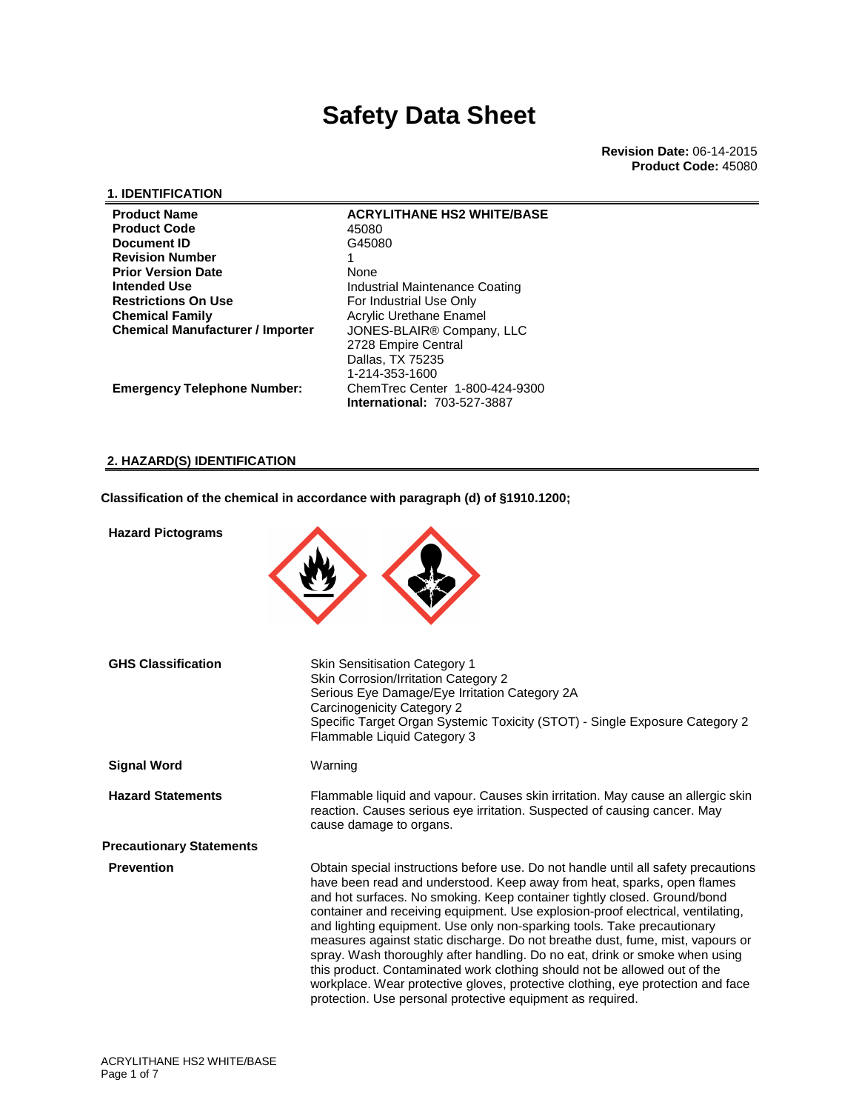**Revision Date:** 06-14-2015 **Product Code:** 45080

#### **1. IDENTIFICATION**

| <b>Product Name</b>                     | <b>ACRYLITHANE HS2 WHITE/BASE</b>     |
|-----------------------------------------|---------------------------------------|
| <b>Product Code</b>                     | 45080                                 |
| Document ID                             | G45080                                |
| <b>Revision Number</b>                  |                                       |
| <b>Prior Version Date</b>               | None                                  |
| <b>Intended Use</b>                     | Industrial Maintenance Coating        |
| <b>Restrictions On Use</b>              | For Industrial Use Only               |
| <b>Chemical Family</b>                  | Acrylic Urethane Enamel               |
| <b>Chemical Manufacturer / Importer</b> | JONES-BLAIR <sup>®</sup> Company, LLC |
|                                         | 2728 Empire Central                   |
|                                         | Dallas, TX 75235                      |
|                                         | 1-214-353-1600                        |
| <b>Emergency Telephone Number:</b>      | ChemTrec Center 1-800-424-9300        |
|                                         | <b>International: 703-527-3887</b>    |

#### **2. HAZARD(S) IDENTIFICATION**

**Classification of the chemical in accordance with paragraph (d) of §1910.1200;**

| <b>Hazard Pictograms</b>        |                                                                                                                                                                                                                                                                                                                                                                                                                                                                                                                                                                                                                                                                                                                                                                                                        |
|---------------------------------|--------------------------------------------------------------------------------------------------------------------------------------------------------------------------------------------------------------------------------------------------------------------------------------------------------------------------------------------------------------------------------------------------------------------------------------------------------------------------------------------------------------------------------------------------------------------------------------------------------------------------------------------------------------------------------------------------------------------------------------------------------------------------------------------------------|
| <b>GHS Classification</b>       | <b>Skin Sensitisation Category 1</b><br><b>Skin Corrosion/Irritation Category 2</b><br>Serious Eye Damage/Eye Irritation Category 2A<br>Carcinogenicity Category 2<br>Specific Target Organ Systemic Toxicity (STOT) - Single Exposure Category 2<br>Flammable Liquid Category 3                                                                                                                                                                                                                                                                                                                                                                                                                                                                                                                       |
| <b>Signal Word</b>              | Warning                                                                                                                                                                                                                                                                                                                                                                                                                                                                                                                                                                                                                                                                                                                                                                                                |
| <b>Hazard Statements</b>        | Flammable liquid and vapour. Causes skin irritation. May cause an allergic skin<br>reaction. Causes serious eye irritation. Suspected of causing cancer. May<br>cause damage to organs.                                                                                                                                                                                                                                                                                                                                                                                                                                                                                                                                                                                                                |
| <b>Precautionary Statements</b> |                                                                                                                                                                                                                                                                                                                                                                                                                                                                                                                                                                                                                                                                                                                                                                                                        |
| <b>Prevention</b>               | Obtain special instructions before use. Do not handle until all safety precautions<br>have been read and understood. Keep away from heat, sparks, open flames<br>and hot surfaces. No smoking. Keep container tightly closed. Ground/bond<br>container and receiving equipment. Use explosion-proof electrical, ventilating,<br>and lighting equipment. Use only non-sparking tools. Take precautionary<br>measures against static discharge. Do not breathe dust, fume, mist, vapours or<br>spray. Wash thoroughly after handling. Do no eat, drink or smoke when using<br>this product. Contaminated work clothing should not be allowed out of the<br>workplace. Wear protective gloves, protective clothing, eye protection and face<br>protection. Use personal protective equipment as required. |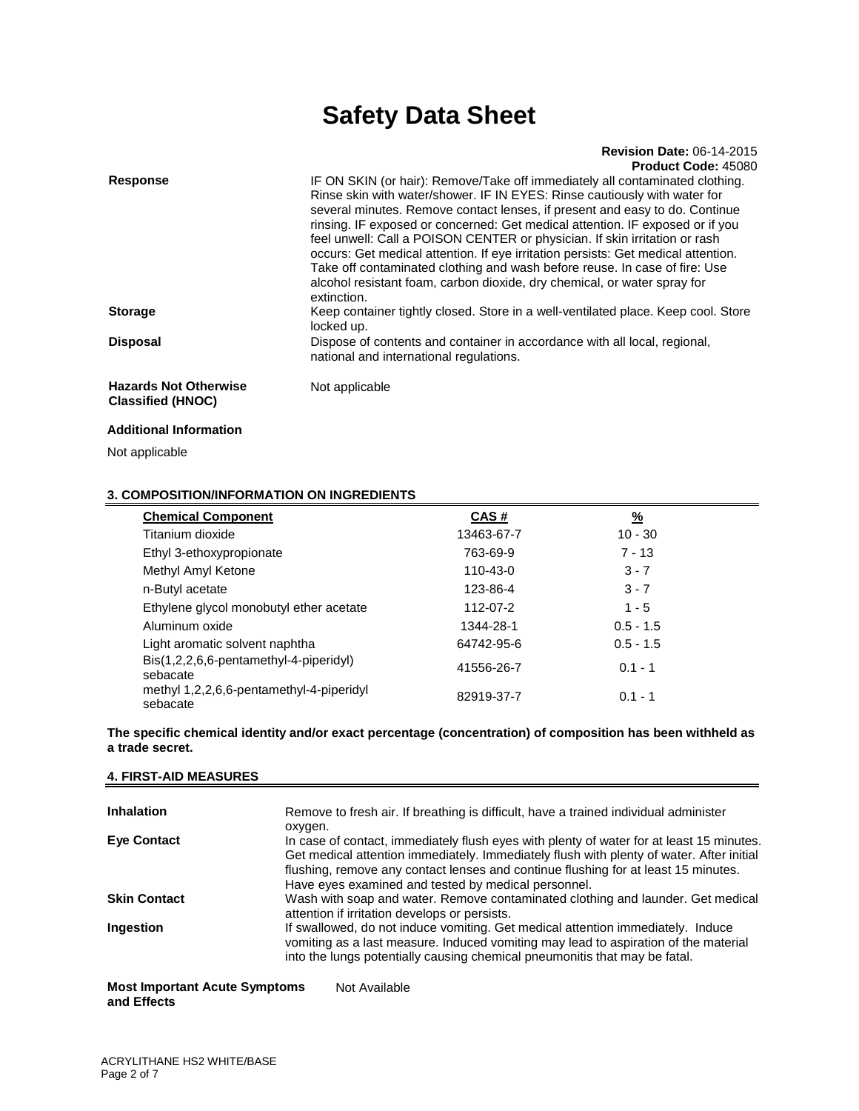#### **Revision Date:** 06-14-2015 **Product Code:** 45080

| <b>Response</b>                                          | IF ON SKIN (or hair): Remove/Take off immediately all contaminated clothing.<br>Rinse skin with water/shower. IF IN EYES: Rinse cautiously with water for<br>several minutes. Remove contact lenses, if present and easy to do. Continue<br>rinsing. IF exposed or concerned: Get medical attention. IF exposed or if you<br>feel unwell: Call a POISON CENTER or physician. If skin irritation or rash<br>occurs: Get medical attention. If eye irritation persists: Get medical attention.<br>Take off contaminated clothing and wash before reuse. In case of fire: Use<br>alcohol resistant foam, carbon dioxide, dry chemical, or water spray for<br>extinction. |
|----------------------------------------------------------|-----------------------------------------------------------------------------------------------------------------------------------------------------------------------------------------------------------------------------------------------------------------------------------------------------------------------------------------------------------------------------------------------------------------------------------------------------------------------------------------------------------------------------------------------------------------------------------------------------------------------------------------------------------------------|
| <b>Storage</b>                                           | Keep container tightly closed. Store in a well-ventilated place. Keep cool. Store<br>locked up.                                                                                                                                                                                                                                                                                                                                                                                                                                                                                                                                                                       |
| <b>Disposal</b>                                          | Dispose of contents and container in accordance with all local, regional,<br>national and international regulations.                                                                                                                                                                                                                                                                                                                                                                                                                                                                                                                                                  |
| <b>Hazards Not Otherwise</b><br><b>Classified (HNOC)</b> | Not applicable                                                                                                                                                                                                                                                                                                                                                                                                                                                                                                                                                                                                                                                        |

#### **Additional Information**

Not applicable

### **3. COMPOSITION/INFORMATION ON INGREDIENTS**

| <b>Chemical Component</b>                            | CAS#       | $\frac{9}{6}$ |  |
|------------------------------------------------------|------------|---------------|--|
| Titanium dioxide                                     | 13463-67-7 | $10 - 30$     |  |
| Ethyl 3-ethoxypropionate                             | 763-69-9   | $7 - 13$      |  |
| Methyl Amyl Ketone                                   | 110-43-0   | $3 - 7$       |  |
| n-Butyl acetate                                      | 123-86-4   | $3 - 7$       |  |
| Ethylene glycol monobutyl ether acetate              | 112-07-2   | $1 - 5$       |  |
| Aluminum oxide                                       | 1344-28-1  | $0.5 - 1.5$   |  |
| Light aromatic solvent naphtha                       | 64742-95-6 | $0.5 - 1.5$   |  |
| Bis(1,2,2,6,6-pentamethyl-4-piperidyl)<br>sebacate   | 41556-26-7 | $0.1 - 1$     |  |
| methyl 1,2,2,6,6-pentamethyl-4-piperidyl<br>sebacate | 82919-37-7 | $0.1 - 1$     |  |

**The specific chemical identity and/or exact percentage (concentration) of composition has been withheld as a trade secret.** 

#### **4. FIRST-AID MEASURES**

| <b>Inhalation</b>                                   | Remove to fresh air. If breathing is difficult, have a trained individual administer<br>oxygen.                                                                                                                                                                                                                                   |  |  |  |
|-----------------------------------------------------|-----------------------------------------------------------------------------------------------------------------------------------------------------------------------------------------------------------------------------------------------------------------------------------------------------------------------------------|--|--|--|
| <b>Eye Contact</b>                                  | In case of contact, immediately flush eyes with plenty of water for at least 15 minutes.<br>Get medical attention immediately. Immediately flush with plenty of water. After initial<br>flushing, remove any contact lenses and continue flushing for at least 15 minutes.<br>Have eyes examined and tested by medical personnel. |  |  |  |
| <b>Skin Contact</b>                                 | Wash with soap and water. Remove contaminated clothing and launder. Get medical<br>attention if irritation develops or persists.                                                                                                                                                                                                  |  |  |  |
| Ingestion                                           | If swallowed, do not induce vomiting. Get medical attention immediately. Induce<br>vomiting as a last measure. Induced vomiting may lead to aspiration of the material<br>into the lungs potentially causing chemical pneumonitis that may be fatal.                                                                              |  |  |  |
| <b>Most Important Acute Symptoms</b><br>and Effects | Not Available                                                                                                                                                                                                                                                                                                                     |  |  |  |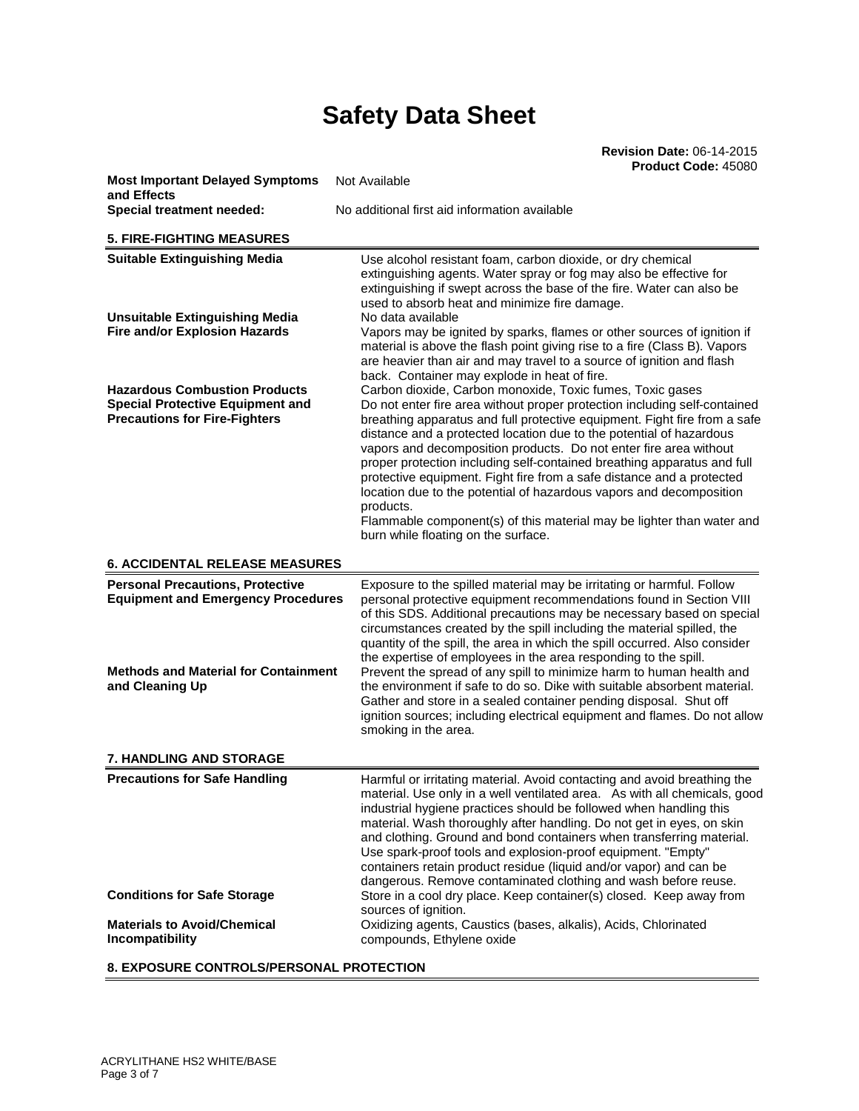| <b>Most Important Delayed Symptoms</b><br>and Effects                                                                   | Not Available                                                                                                                                                                                                                                                                                                                                                                                                                                                                                                                                                                                                                                                                                                           |
|-------------------------------------------------------------------------------------------------------------------------|-------------------------------------------------------------------------------------------------------------------------------------------------------------------------------------------------------------------------------------------------------------------------------------------------------------------------------------------------------------------------------------------------------------------------------------------------------------------------------------------------------------------------------------------------------------------------------------------------------------------------------------------------------------------------------------------------------------------------|
| Special treatment needed:                                                                                               | No additional first aid information available                                                                                                                                                                                                                                                                                                                                                                                                                                                                                                                                                                                                                                                                           |
| <b>5. FIRE-FIGHTING MEASURES</b>                                                                                        |                                                                                                                                                                                                                                                                                                                                                                                                                                                                                                                                                                                                                                                                                                                         |
| <b>Suitable Extinguishing Media</b>                                                                                     | Use alcohol resistant foam, carbon dioxide, or dry chemical<br>extinguishing agents. Water spray or fog may also be effective for<br>extinguishing if swept across the base of the fire. Water can also be<br>used to absorb heat and minimize fire damage.                                                                                                                                                                                                                                                                                                                                                                                                                                                             |
| <b>Unsuitable Extinguishing Media</b><br><b>Fire and/or Explosion Hazards</b>                                           | No data available<br>Vapors may be ignited by sparks, flames or other sources of ignition if<br>material is above the flash point giving rise to a fire (Class B). Vapors<br>are heavier than air and may travel to a source of ignition and flash<br>back. Container may explode in heat of fire.                                                                                                                                                                                                                                                                                                                                                                                                                      |
| <b>Hazardous Combustion Products</b><br><b>Special Protective Equipment and</b><br><b>Precautions for Fire-Fighters</b> | Carbon dioxide, Carbon monoxide, Toxic fumes, Toxic gases<br>Do not enter fire area without proper protection including self-contained<br>breathing apparatus and full protective equipment. Fight fire from a safe<br>distance and a protected location due to the potential of hazardous<br>vapors and decomposition products. Do not enter fire area without<br>proper protection including self-contained breathing apparatus and full<br>protective equipment. Fight fire from a safe distance and a protected<br>location due to the potential of hazardous vapors and decomposition<br>products.<br>Flammable component(s) of this material may be lighter than water and<br>burn while floating on the surface. |
| <b>6. ACCIDENTAL RELEASE MEASURES</b>                                                                                   |                                                                                                                                                                                                                                                                                                                                                                                                                                                                                                                                                                                                                                                                                                                         |
| <b>Personal Precautions, Protective</b><br><b>Equipment and Emergency Procedures</b>                                    | Exposure to the spilled material may be irritating or harmful. Follow<br>personal protective equipment recommendations found in Section VIII<br>of this SDS. Additional precautions may be necessary based on special<br>circumstances created by the spill including the material spilled, the                                                                                                                                                                                                                                                                                                                                                                                                                         |
| <b>Methods and Material for Containment</b><br>and Cleaning Up                                                          | quantity of the spill, the area in which the spill occurred. Also consider<br>the expertise of employees in the area responding to the spill.<br>Prevent the spread of any spill to minimize harm to human health and<br>the environment if safe to do so. Dike with suitable absorbent material.<br>Gather and store in a sealed container pending disposal. Shut off<br>ignition sources; including electrical equipment and flames. Do not allow                                                                                                                                                                                                                                                                     |
|                                                                                                                         | smoking in the area.                                                                                                                                                                                                                                                                                                                                                                                                                                                                                                                                                                                                                                                                                                    |
| <b>7. HANDLING AND STORAGE</b>                                                                                          |                                                                                                                                                                                                                                                                                                                                                                                                                                                                                                                                                                                                                                                                                                                         |
| <b>Precautions for Safe Handling</b>                                                                                    | Harmful or irritating material. Avoid contacting and avoid breathing the<br>material. Use only in a well ventilated area. As with all chemicals, good<br>industrial hygiene practices should be followed when handling this<br>material. Wash thoroughly after handling. Do not get in eyes, on skin<br>and clothing. Ground and bond containers when transferring material.<br>Use spark-proof tools and explosion-proof equipment. "Empty"<br>containers retain product residue (liquid and/or vapor) and can be                                                                                                                                                                                                      |
| <b>Conditions for Safe Storage</b>                                                                                      | dangerous. Remove contaminated clothing and wash before reuse.<br>Store in a cool dry place. Keep container(s) closed. Keep away from                                                                                                                                                                                                                                                                                                                                                                                                                                                                                                                                                                                   |
| <b>Materials to Avoid/Chemical</b><br>Incompatibility                                                                   | sources of ignition.<br>Oxidizing agents, Caustics (bases, alkalis), Acids, Chlorinated<br>compounds, Ethylene oxide                                                                                                                                                                                                                                                                                                                                                                                                                                                                                                                                                                                                    |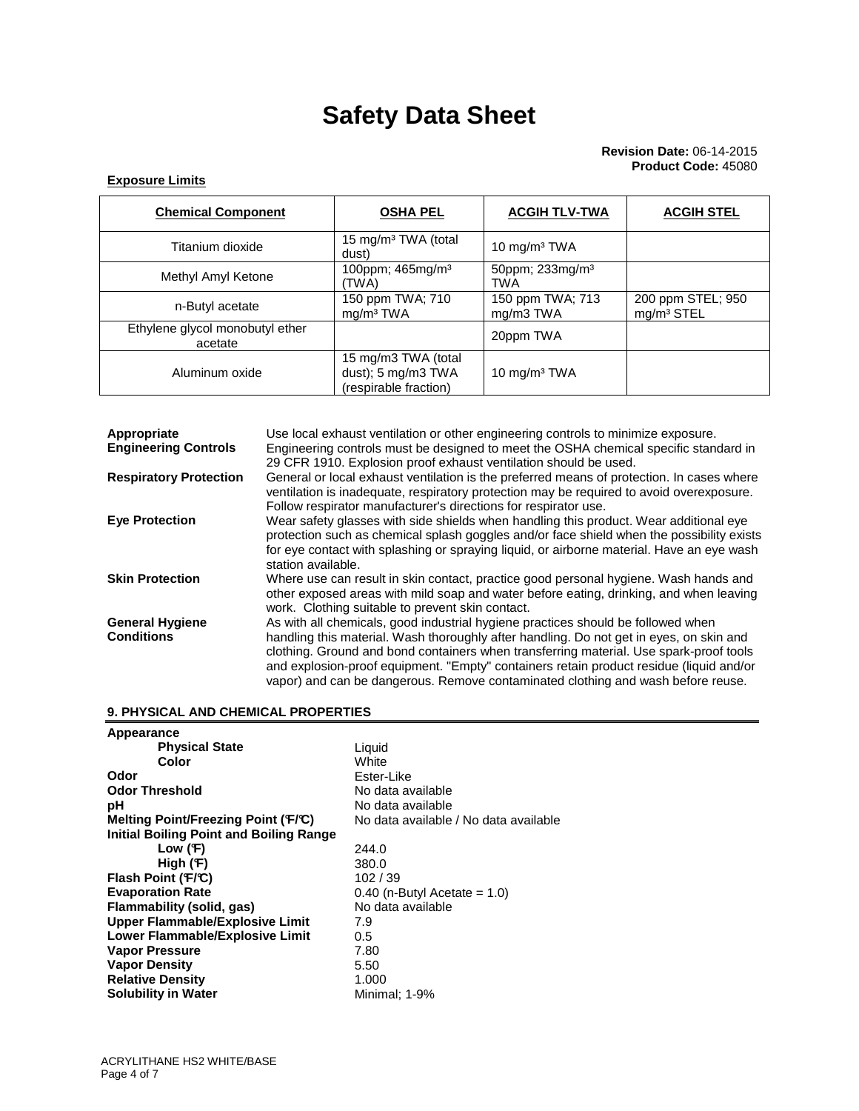#### **Exposure Limits**

| <b>Chemical Component</b>                  | <b>OSHA PEL</b>                                                    | <b>ACGIH TLV-TWA</b>                      | <b>ACGIH STEL</b>                           |
|--------------------------------------------|--------------------------------------------------------------------|-------------------------------------------|---------------------------------------------|
| Titanium dioxide                           | 15 mg/m <sup>3</sup> TWA (total<br>dust)                           | 10 $mg/m3 TWA$                            |                                             |
| Methyl Amyl Ketone                         | 100ppm; 465mg/m <sup>3</sup><br>(TWA)                              | 50ppm; 233mg/m <sup>3</sup><br><b>TWA</b> |                                             |
| n-Butyl acetate                            | 150 ppm TWA; 710<br>mg/m <sup>3</sup> TWA                          | 150 ppm TWA; 713<br>mg/m3 TWA             | 200 ppm STEL; 950<br>mg/m <sup>3</sup> STEL |
| Ethylene glycol monobutyl ether<br>acetate |                                                                    | 20ppm TWA                                 |                                             |
| Aluminum oxide                             | 15 mg/m3 TWA (total<br>dust); 5 mg/m3 TWA<br>(respirable fraction) | 10 mg/m <sup>3</sup> TWA                  |                                             |

| Appropriate                   | Use local exhaust ventilation or other engineering controls to minimize exposure.                                                                                                                                                                                                                                                                                |
|-------------------------------|------------------------------------------------------------------------------------------------------------------------------------------------------------------------------------------------------------------------------------------------------------------------------------------------------------------------------------------------------------------|
| <b>Engineering Controls</b>   | Engineering controls must be designed to meet the OSHA chemical specific standard in<br>29 CFR 1910. Explosion proof exhaust ventilation should be used.                                                                                                                                                                                                         |
| <b>Respiratory Protection</b> | General or local exhaust ventilation is the preferred means of protection. In cases where<br>ventilation is inadequate, respiratory protection may be required to avoid overexposure.<br>Follow respirator manufacturer's directions for respirator use.                                                                                                         |
| <b>Eye Protection</b>         | Wear safety glasses with side shields when handling this product. Wear additional eye<br>protection such as chemical splash goggles and/or face shield when the possibility exists<br>for eye contact with splashing or spraying liquid, or airborne material. Have an eye wash<br>station available.                                                            |
| <b>Skin Protection</b>        | Where use can result in skin contact, practice good personal hygiene. Wash hands and<br>other exposed areas with mild soap and water before eating, drinking, and when leaving<br>work. Clothing suitable to prevent skin contact.                                                                                                                               |
| <b>General Hygiene</b>        | As with all chemicals, good industrial hygiene practices should be followed when                                                                                                                                                                                                                                                                                 |
| <b>Conditions</b>             | handling this material. Wash thoroughly after handling. Do not get in eyes, on skin and<br>clothing. Ground and bond containers when transferring material. Use spark-proof tools<br>and explosion-proof equipment. "Empty" containers retain product residue (liquid and/or<br>vapor) and can be dangerous. Remove contaminated clothing and wash before reuse. |

#### **9. PHYSICAL AND CHEMICAL PROPERTIES**

| Appearance                                     |                                       |
|------------------------------------------------|---------------------------------------|
| <b>Physical State</b>                          | Liquid                                |
| Color                                          | White                                 |
| Odor                                           | Ester-Like                            |
| <b>Odor Threshold</b>                          | No data available                     |
| рH                                             | No data available                     |
| Melting Point/Freezing Point (F/C)             | No data available / No data available |
| <b>Initial Boiling Point and Boiling Range</b> |                                       |
| Low (F)                                        | 244.0                                 |
| High $(F)$                                     | 380.0                                 |
| Flash Point (F/C)                              | 102/39                                |
| <b>Evaporation Rate</b>                        | $0.40$ (n-Butyl Acetate = 1.0)        |
| <b>Flammability (solid, gas)</b>               | No data available                     |
| Upper Flammable/Explosive Limit                | 7.9                                   |
| <b>Lower Flammable/Explosive Limit</b>         | 0.5                                   |
| <b>Vapor Pressure</b>                          | 7.80                                  |
| <b>Vapor Density</b>                           | 5.50                                  |
| <b>Relative Density</b>                        | 1.000                                 |
| <b>Solubility in Water</b>                     | Minimal; 1-9%                         |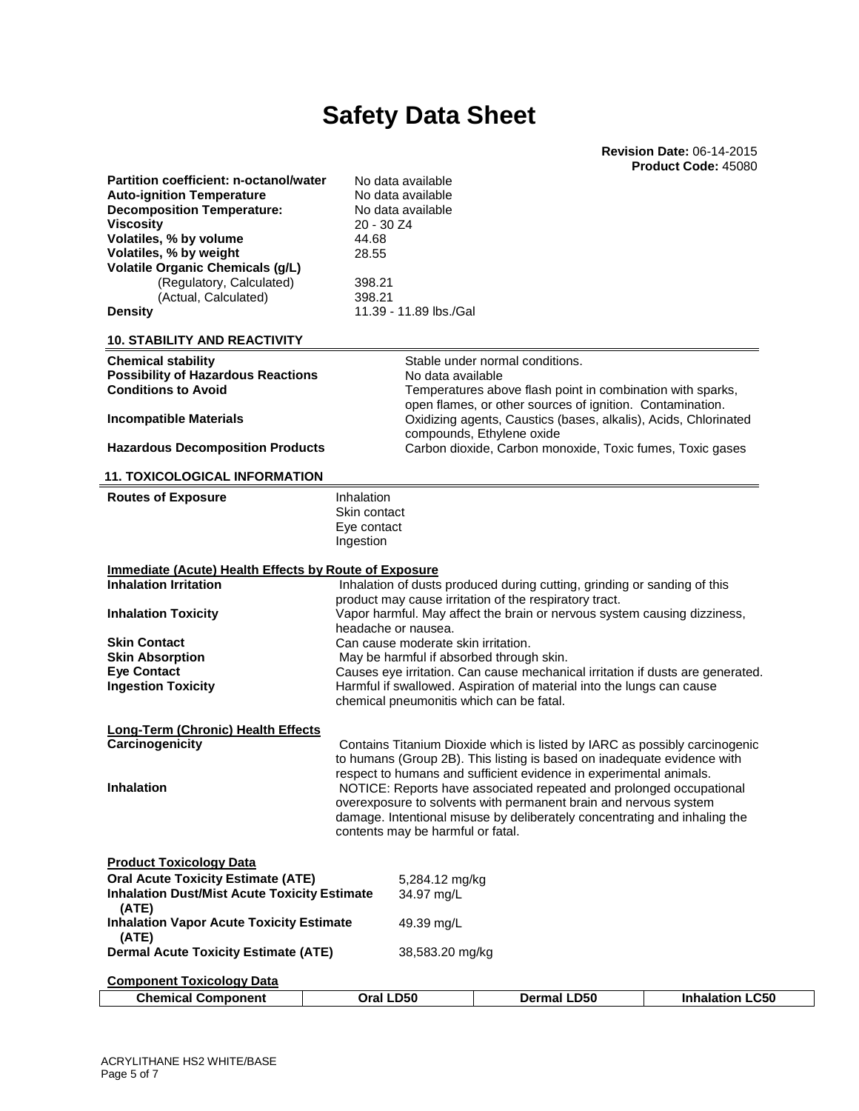**Revision Date:** 06-14-2015 **Product Code:** 45080

| Partition coefficient: n-octanol/water                       | No data available                        |                                                                                                                                                           |                        |
|--------------------------------------------------------------|------------------------------------------|-----------------------------------------------------------------------------------------------------------------------------------------------------------|------------------------|
| <b>Auto-ignition Temperature</b>                             | No data available                        |                                                                                                                                                           |                        |
| <b>Decomposition Temperature:</b>                            | No data available                        |                                                                                                                                                           |                        |
| <b>Viscosity</b>                                             | 20 - 30 Z4                               |                                                                                                                                                           |                        |
| Volatiles, % by volume                                       | 44.68                                    |                                                                                                                                                           |                        |
| Volatiles, % by weight                                       | 28.55                                    |                                                                                                                                                           |                        |
| <b>Volatile Organic Chemicals (g/L)</b>                      |                                          |                                                                                                                                                           |                        |
| (Regulatory, Calculated)<br>(Actual, Calculated)             | 398.21<br>398.21                         |                                                                                                                                                           |                        |
| <b>Density</b>                                               | 11.39 - 11.89 lbs./Gal                   |                                                                                                                                                           |                        |
|                                                              |                                          |                                                                                                                                                           |                        |
| <b>10. STABILITY AND REACTIVITY</b>                          |                                          |                                                                                                                                                           |                        |
| <b>Chemical stability</b>                                    |                                          | Stable under normal conditions.                                                                                                                           |                        |
| <b>Possibility of Hazardous Reactions</b>                    | No data available                        |                                                                                                                                                           |                        |
| <b>Conditions to Avoid</b>                                   |                                          | Temperatures above flash point in combination with sparks,                                                                                                |                        |
| <b>Incompatible Materials</b>                                |                                          | open flames, or other sources of ignition. Contamination.<br>Oxidizing agents, Caustics (bases, alkalis), Acids, Chlorinated<br>compounds, Ethylene oxide |                        |
| <b>Hazardous Decomposition Products</b>                      |                                          | Carbon dioxide, Carbon monoxide, Toxic fumes, Toxic gases                                                                                                 |                        |
|                                                              |                                          |                                                                                                                                                           |                        |
| <b>11. TOXICOLOGICAL INFORMATION</b>                         |                                          |                                                                                                                                                           |                        |
| <b>Routes of Exposure</b>                                    | Inhalation                               |                                                                                                                                                           |                        |
|                                                              | Skin contact                             |                                                                                                                                                           |                        |
|                                                              | Eye contact                              |                                                                                                                                                           |                        |
|                                                              | Ingestion                                |                                                                                                                                                           |                        |
| <b>Immediate (Acute) Health Effects by Route of Exposure</b> |                                          |                                                                                                                                                           |                        |
| <b>Inhalation Irritation</b>                                 |                                          | Inhalation of dusts produced during cutting, grinding or sanding of this                                                                                  |                        |
|                                                              |                                          | product may cause irritation of the respiratory tract.                                                                                                    |                        |
| <b>Inhalation Toxicity</b>                                   |                                          | Vapor harmful. May affect the brain or nervous system causing dizziness,                                                                                  |                        |
|                                                              | headache or nausea.                      |                                                                                                                                                           |                        |
| <b>Skin Contact</b>                                          | Can cause moderate skin irritation.      |                                                                                                                                                           |                        |
| <b>Skin Absorption</b>                                       | May be harmful if absorbed through skin. |                                                                                                                                                           |                        |
| <b>Eye Contact</b>                                           |                                          | Causes eye irritation. Can cause mechanical irritation if dusts are generated.                                                                            |                        |
| <b>Ingestion Toxicity</b>                                    |                                          | Harmful if swallowed. Aspiration of material into the lungs can cause                                                                                     |                        |
|                                                              | chemical pneumonitis which can be fatal. |                                                                                                                                                           |                        |
| <b>Long-Term (Chronic) Health Effects</b>                    |                                          |                                                                                                                                                           |                        |
| Carcinogenicity                                              |                                          | Contains Titanium Dioxide which is listed by IARC as possibly carcinogenic                                                                                |                        |
|                                                              |                                          | to humans (Group 2B). This listing is based on inadequate evidence with                                                                                   |                        |
|                                                              |                                          | respect to humans and sufficient evidence in experimental animals.                                                                                        |                        |
| <b>Inhalation</b>                                            |                                          | NOTICE: Reports have associated repeated and prolonged occupational                                                                                       |                        |
|                                                              |                                          | overexposure to solvents with permanent brain and nervous system                                                                                          |                        |
|                                                              |                                          | damage. Intentional misuse by deliberately concentrating and inhaling the                                                                                 |                        |
|                                                              | contents may be harmful or fatal.        |                                                                                                                                                           |                        |
|                                                              |                                          |                                                                                                                                                           |                        |
| <b>Product Toxicology Data</b>                               |                                          |                                                                                                                                                           |                        |
| <b>Oral Acute Toxicity Estimate (ATE)</b>                    | 5,284.12 mg/kg                           |                                                                                                                                                           |                        |
| <b>Inhalation Dust/Mist Acute Toxicity Estimate</b>          | 34.97 ma/L                               |                                                                                                                                                           |                        |
| (ATE)<br><b>Inhalation Vapor Acute Toxicity Estimate</b>     | 49.39 mg/L                               |                                                                                                                                                           |                        |
| (ATE)                                                        |                                          |                                                                                                                                                           |                        |
| <b>Dermal Acute Toxicity Estimate (ATE)</b>                  | 38,583.20 mg/kg                          |                                                                                                                                                           |                        |
| <b>Component Toxicology Data</b>                             |                                          |                                                                                                                                                           |                        |
| <b>Chemical Component</b>                                    | Oral LD50                                | <b>Dermal LD50</b>                                                                                                                                        | <b>Inhalation LC50</b> |
|                                                              |                                          |                                                                                                                                                           |                        |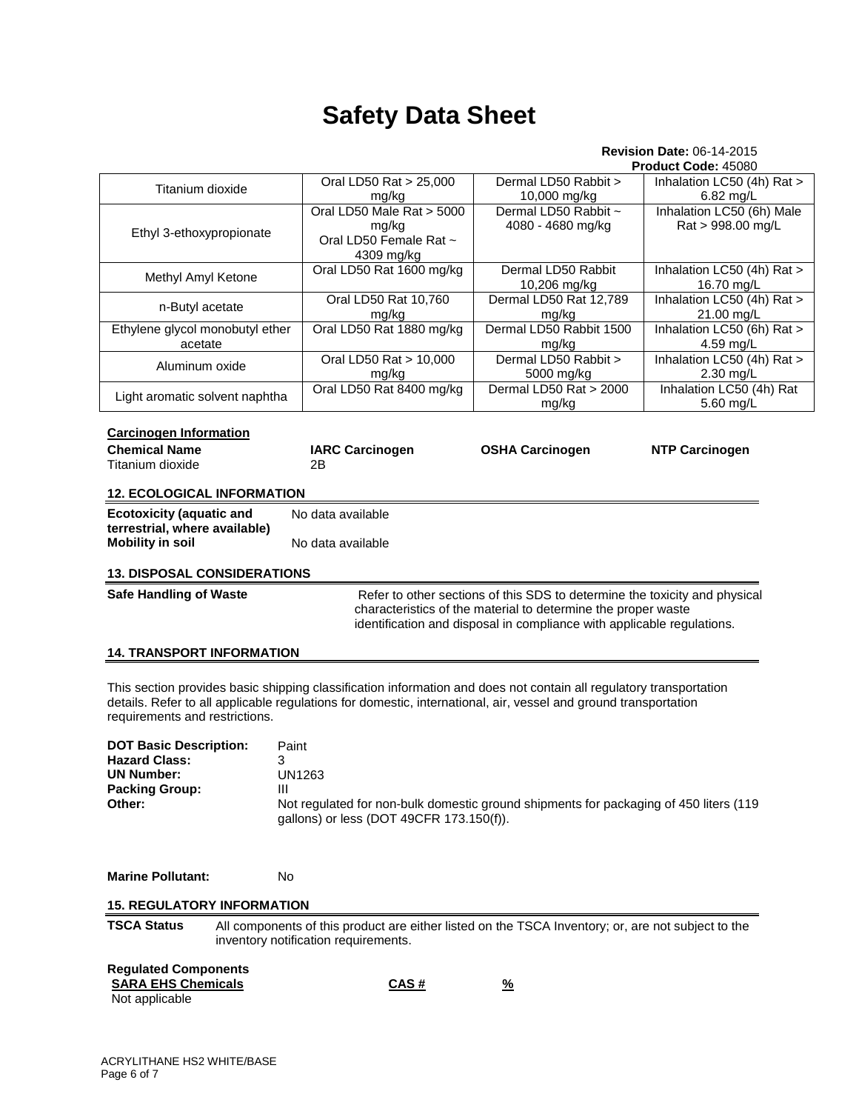### **Revision Date:** 06-14-2015

|                                                                                                                                                                                                                                                                                 |                                                                                                                                            |                                           | Product Code: 45080                            |  |  |  |
|---------------------------------------------------------------------------------------------------------------------------------------------------------------------------------------------------------------------------------------------------------------------------------|--------------------------------------------------------------------------------------------------------------------------------------------|-------------------------------------------|------------------------------------------------|--|--|--|
| Titanium dioxide                                                                                                                                                                                                                                                                | Oral LD50 Rat > 25,000<br>mg/kg                                                                                                            | Dermal LD50 Rabbit ><br>10,000 mg/kg      | Inhalation LC50 (4h) Rat ><br>6.82 mg/L        |  |  |  |
| Ethyl 3-ethoxypropionate                                                                                                                                                                                                                                                        | Oral LD50 Male Rat > 5000<br>mg/kg<br>Oral LD50 Female Rat ~<br>4309 mg/kg                                                                 | Dermal LD50 Rabbit ~<br>4080 - 4680 mg/kg | Inhalation LC50 (6h) Male<br>Rat > 998.00 mg/L |  |  |  |
| Methyl Amyl Ketone                                                                                                                                                                                                                                                              | Oral LD50 Rat 1600 mg/kg                                                                                                                   | Dermal LD50 Rabbit<br>10,206 mg/kg        | Inhalation LC50 (4h) Rat ><br>16.70 mg/L       |  |  |  |
| n-Butyl acetate                                                                                                                                                                                                                                                                 | Inhalation LC50 (4h) Rat ><br>Oral LD50 Rat 10,760<br>Dermal LD50 Rat 12,789<br>mg/kg<br>mg/kg<br>21.00 mg/L                               |                                           |                                                |  |  |  |
| Ethylene glycol monobutyl ether<br>acetate                                                                                                                                                                                                                                      | Oral LD50 Rat 1880 mg/kg                                                                                                                   | Dermal LD50 Rabbit 1500<br>mg/kg          | Inhalation LC50 (6h) Rat ><br>4.59 mg/L        |  |  |  |
| Aluminum oxide                                                                                                                                                                                                                                                                  | Oral LD50 Rat > 10,000<br>mg/kg                                                                                                            | Dermal LD50 Rabbit ><br>5000 mg/kg        | Inhalation LC50 (4h) Rat ><br>2.30 mg/L        |  |  |  |
| Light aromatic solvent naphtha                                                                                                                                                                                                                                                  | Oral LD50 Rat 8400 mg/kg                                                                                                                   | Dermal LD50 Rat > 2000<br>mg/kg           | Inhalation LC50 (4h) Rat<br>5.60 mg/L          |  |  |  |
| <b>Carcinogen Information</b><br><b>Chemical Name</b><br>Titanium dioxide                                                                                                                                                                                                       | <b>IARC Carcinogen</b><br>2Β                                                                                                               | <b>OSHA Carcinogen</b>                    | <b>NTP Carcinogen</b>                          |  |  |  |
| <b>12. ECOLOGICAL INFORMATION</b>                                                                                                                                                                                                                                               |                                                                                                                                            |                                           |                                                |  |  |  |
| <b>Ecotoxicity (aquatic and</b><br>No data available<br>terrestrial, where available)<br><b>Mobility in soil</b><br>No data available                                                                                                                                           |                                                                                                                                            |                                           |                                                |  |  |  |
| <b>13. DISPOSAL CONSIDERATIONS</b>                                                                                                                                                                                                                                              |                                                                                                                                            |                                           |                                                |  |  |  |
| Refer to other sections of this SDS to determine the toxicity and physical<br><b>Safe Handling of Waste</b><br>characteristics of the material to determine the proper waste<br>identification and disposal in compliance with applicable regulations.                          |                                                                                                                                            |                                           |                                                |  |  |  |
| <b>14. TRANSPORT INFORMATION</b>                                                                                                                                                                                                                                                |                                                                                                                                            |                                           |                                                |  |  |  |
| This section provides basic shipping classification information and does not contain all regulatory transportation<br>details. Refer to all applicable regulations for domestic, international, air, vessel and ground transportation<br>requirements and restrictions.         |                                                                                                                                            |                                           |                                                |  |  |  |
| <b>DOT Basic Description:</b><br>Paint<br><b>Hazard Class:</b><br>3<br><b>UN1263</b><br>UN Number:<br><b>Packing Group:</b><br>Ш<br>Other:<br>Not regulated for non-bulk domestic ground shipments for packaging of 450 liters (119<br>gallons) or less (DOT 49CFR 173.150(f)). |                                                                                                                                            |                                           |                                                |  |  |  |
| <b>Marine Pollutant:</b><br>No                                                                                                                                                                                                                                                  |                                                                                                                                            |                                           |                                                |  |  |  |
| <b>15. REGULATORY INFORMATION</b>                                                                                                                                                                                                                                               |                                                                                                                                            |                                           |                                                |  |  |  |
| <b>TSCA Status</b>                                                                                                                                                                                                                                                              | All components of this product are either listed on the TSCA Inventory; or, are not subject to the<br>inventory notification requirements. |                                           |                                                |  |  |  |
| <b>Regulated Components</b><br><b>SARA EHS Chemicals</b><br>Not applicable                                                                                                                                                                                                      | <u>CAS #</u>                                                                                                                               | $\frac{9}{6}$                             |                                                |  |  |  |